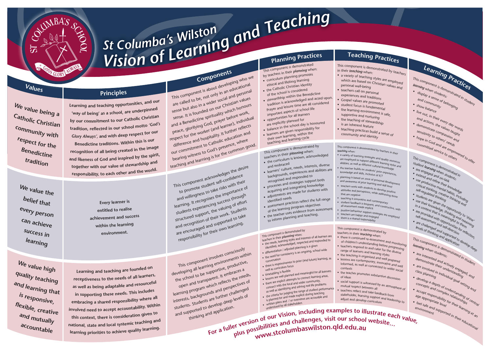# *viston <i>Columba's* **Wilston** *Qnd**Teaching***<br>***Vision of Learning <b>And <i>Preming Practices <sup>S</sup><sup>t</sup> <sup>C</sup>olumba'<sup>s</sup> <sup>W</sup>ilsto<sup>n</sup>*

**<sup>V</sup>alue<sup>s</sup>**



**<sup>P</sup>rinciple<sup>s</sup>**

Learning and teaching opportunities, and our 'way of being' as a school, are underpinned by our commitment to our Catholic Christian tradition, reflected in our school motto 'God's

Glory Always', and with deep respect for our

Benedictine traditions. Within this is our recognition of all being created in the image

and likeness of God and inspired by the spirit, together with our value of stewardship and responsibility, to each other and the world.

**Component<sup>s</sup>**

This component is about developing who we are called to be, not only in an educational sense but also in a wider social and personal sense. It is founded on our Christian values and a Benedictine spirituality which honours peace, glorifying God, prayer before work, respect for the worker (and learner), individual difference and hospitality. It further reflects teaching and learning is for the common good. our commitment to Catholic education and bearing witness to God's presence, where

# **<sup>L</sup>earnin<sup>g</sup> <sup>P</sup>ractice<sup>s</sup>**

- 
- This component is demonstrated in students. *<sup>l</sup>earnin<sup>g</sup>* <sup>w</sup>he<sup>n</sup> <sup>s</sup>tudents: •display a sense of belonging<br>and community<br>for belonging<br>for balance
- <sup>and community<br>how bay</sup>  $\cdot$  sh
- si low balance
- e out, in their every day<br><sup>1d actions, the very day words<br><sup>emonstrate callles to rols</sup></sup> and actions, the values taught •
- demonstrate compassion<br>
sensitivity to others's raugh sensitivity to others' heeds. •• hope in God and are empowered to offer<br>committed service to others<br>This component to others<br>student ponent
- committed service to others<br>is control to others

**C <sup>W</sup><sup>e</sup> <sup>v</sup>alu<sup>e</sup> <sup>b</sup>ein<sup>g</sup> <sup>a</sup>**

**<sup>a</sup>tholi<sup>c</sup> <sup>C</sup>hristia<sup>n</sup>**

**<sup>c</sup>ommunit<sup>y</sup> <sup>w</sup>it<sup>h</sup>**

**<sup>r</sup>e<sup>s</sup>pec<sup>t</sup> <sup>f</sup>o<sup>r</sup> <sup>t</sup>h<sup>e</sup>**

**<sup>B</sup>enedictin<sup>e</sup>**

**<sup>t</sup>raditio<sup>n</sup>**

**<sup>W</sup><sup>e</sup> <sup>v</sup>alu<sup>e</sup> <sup>t</sup>h<sup>e</sup>**

**<sup>b</sup>elie<sup>f</sup> <sup>t</sup>ha<sup>t</sup>**

**<sup>e</sup>ve<sup>r</sup><sup>y</sup> <sup>p</sup>erso<sup>n</sup>**

**<sup>c</sup>a<sup>n</sup> <sup>a</sup>chiev<sup>e</sup>**

**<sup>s</sup>ucces<sup>s</sup> <sup>i</sup><sup>n</sup>**

**<sup>l</sup>earnin<sup>g</sup>**

This component acknowledges the desire <sup>t</sup><sup>o</sup> <sup>p</sup><sup>r</sup>omote studen<sup>t</sup> <sup>s</sup>elf-c<sup>o</sup>nfidenc<sup>e</sup> and willingness to take risks with their learning. It recognises the importance of students experiencing success through structured support, the valuing of effort and recognition of their work. Students are encouraged and supported to take re<sup>s</sup>pon<sup>s</sup>ibility fo<sup>r</sup> <sup>t</sup>hei<sup>r</sup> <sup>o</sup>w<sup>n</sup> <sup>l</sup>earning.

### This component involves consciously developing all learning environments within the school to be supportive, productive, open and transparent. It embraces a learning program which reflects the needs, <sup>i</sup>nterests, <sup>b</sup>ackg<sup>r</sup>ound<sup>s</sup> <sup>a</sup>n<sup>d</sup> <sup>p</sup>er<sup>s</sup>pective<sup>s</sup> <sup>o</sup><sup>f</sup> students. Students are further challenged and supported to develop deep levels of<br>students. Students are further chevels of<br>and supported to develop deep levels of ported to developication.<br>thinking and application.

thinking and applicant and thinking and applicant thinking and applicant thinking and applicant thinking and challenges, visit our school website... ler version of our time challenges, visit our school website... www.stcolumbaswilston.qld.edu.au

**<sup>E</sup>ve<sup>r</sup><sup>y</sup> <sup>l</sup>earne<sup>r</sup> <sup>i</sup><sup>s</sup> <sup>e</sup>ntitled <sup>t</sup><sup>o</sup> <sup>r</sup>ealis<sup>e</sup> <sup>a</sup>chievemen<sup>t</sup> <sup>a</sup><sup>n</sup><sup>d</sup> <sup>s</sup>ucces<sup>s</sup> <sup>w</sup>ithi<sup>n</sup> <sup>t</sup>h<sup>e</sup> <sup>l</sup>earning**

**<sup>e</sup>nvironment.**

Learning and teaching are founded on

receptiveness to the needs of all learners, as well as being adaptable and resourceful in supporting these needs. This includes

embracing a shared responsibility where all involved need to accept accountability. Within

this context, there is consideration given to national, state and local systemic teaching and learning priorities to achieve quality learning.

**<sup>W</sup><sup>e</sup> <sup>v</sup>alu<sup>e</sup> <sup>h</sup>ig<sup>h</sup>**

**<sup>q</sup>ualit<sup>y</sup> <sup>t</sup>eachin<sup>g</sup>**

**a <sup>n</sup><sup>d</sup> <sup>l</sup>earnin<sup>g</sup> <sup>t</sup>ha<sup>t</sup>**

**<sup>i</sup><sup>s</sup> <sup>r</sup>e<sup>s</sup>ponsive,**

**<sup>f</sup>lexible, <sup>c</sup>reativ<sup>e</sup>**

**<sup>a</sup>n<sup>d</sup> <sup>m</sup>utuall<sup>y</sup>**

**<sup>a</sup>ccountabl<sup>e</sup>**

- <sup>T</sup>hi<sup>s</sup> <sup>c</sup>omponen<sup>t</sup> <sup>i</sup><sup>s</sup> <sup>d</sup>emonstrate<sup>d</sup> <sup>b</sup><sup>y</sup> <sup>t</sup>eacher<sup>s</sup> <sup>i</sup><sup>n</sup> <sup>t</sup>hei<sup>r</sup> *<sup>t</sup>eachi<sup>n</sup><sup>g</sup>* <sup>w</sup>hen:
	-
	- Ien *teaching styles are employed*
- which are based on Christian values<br>personal well-being<br>ts
- eachers call on personal
- xperiences and traditions
- Cospel values are promoted
- tudent focus is fundamental
- a r n in g environment is safe,<br> and nurturi
- supportive and o r t iv e
- the teaching of stewardship<br>is an inherent feature.
	- s an inherent feature
- eaching practices build a sense of <sup>c</sup>ommunit<sup>y</sup> <sup>a</sup>n<sup>d</sup> <sup>i</sup>dentit<sup>y</sup>
- 
- <sup>T</sup>his <sup>c</sup>o<sup>m</sup>p<sup>o</sup>nen<sup>t</sup> is <sup>d</sup>emonstrate<sup>d</sup> <sup>b</sup><sup>y</sup> <sup>t</sup>eacher<sup>s</sup> <sup>i</sup><sup>n</sup> <sup>t</sup>hei<sup>r</sup> *<sup>t</sup>eachi<sup>n</sup>g* <sup>w</sup>hen:
	- Ing when.<br>Variety of teaching strategies and quality resources recty of teaching states and<br>employed to support different learning styles and abilities, as well as different cultural knowledge teacher builds on students' prior experiences,
	- knowledge and skills, inclusive of ICT
	- ming is based on zone of proximal development awareness of prior learning and skill level
- thers work with students to develop positive attitudes and perceptions, while addressing those<br>that are negative<br>tracking those
- aching is innovative and contemporary • student feedback is frequent, and constructive, with<br>all assessment made explicit<br>• positive babacing and constructive, with
- positive behaviour support strategies are employed<br>• teachers are happy and engaged<br>• there is a chase to chers are happy and engaged<br>re is a shared result in an angaged ere is a shared responsibility
	- e r m mponent is demonstrated by<br><sup>s in their *tegchi*ng</sup>
	- <sup>i</sup><sup>n</sup> thei<sup>r</sup> *<sup>t</sup>eachi<sup>n</sup><sup>g</sup>* <sup>w</sup>hen:
- the teaching is organised and well prepared<br>• lessons are contemporary innershipped
- the teading are contemporary, innovative and well informed, as well as connected to wider social<br>contexts<br>...
- the teacher promotes substantive discussion<br>of ideas
- social support is witnessed by an atmosphere of<br>mutual respect between all<br>• teachers reflect and unit e rs r e f le c t
- stakeh o ld e r le a r a n n in d take feedback from<br><sup>ng sum</sup>s
- adjust and develop curriculum<br>adjust and develop curriculum

### This comparison their planning when<br>teachers in their planning styles and interests of all learners are<br>• the needs, learning styles and responded to te a c

the needs, requiring synchronomic contraction of the neutries are identified, acknowned planning is a given<br>• differentiation / adjusted planning is a given • differentiation / adjusted  $P$ <br>• the need for consistency is an ongoing, school wide<br>• the need tion • there is continued re-assessment and monitoring<br>of children's understanding before program<br>• teachers respond to <sup>o</sup><sup>f</sup> <sup>c</sup>hildren's <sup>u</sup>nderstandi<sup>n</sup><sup>g</sup> befor<sup>e</sup> <sup>p</sup>rog<sup>r</sup>essi<sup>n</sup><sup>g</sup> • teachers respond to and cater for the diverse<br>range of learners and learning ct. the teaching is organised.

- •
- This component is demonstrated in<br>student learning is demonstrated in<br>• are engaged and stude. •
- student *learning* when students:<br>• are engaged and on students:<br>• extend and roce on task are engaged and on-task<br>
• are engaged and on-task<br>
• extend and refine their knowledge<br>
• use productive their knowledge<br>
critical thinking, creative thinking<br>
salf-requilated thinking thinking and extend and refine their knowledge<br>• use productive methods is:<br>critical thinking rental habits :<br>self-regulated creat: habits : Use productive methods<br>
critical thinking, creative diplomation<br>
self-regulated thinking, creative thinking<br>
students are give<br>
wise the are give
- 
- Critical thinking, creative thinking<br>self-regulated thinking, creative thinking<br>students are given thinking and<br>use their knowen the self-regulated thinking<br>• students are dihinking<br>• use + sare di .
- •students are given the thinking and<br>• use their knowledge opportunity to 'shine'<br>in a context that is e thinking and<br>• are provided with meaning and to 'shine'<br>self-assessmenth opportunity to 'shine'
- are provided with opportunity to shine<br>self-assessment and poortunities for reasoning<br>are challenged and self-direction<br>levels of thinking and and anted to use their knowledge, thinking and reasoning<br>are provided with a context that is meaningful to to shine<br>self-assessment and pportunity to shine<br>are challenge, and self-unities them self-assessment and self-direction<br>are challenged and self-direction<br>levels of thinking and self-direction<br>levels of thinking suppare challenged and self-direction<br>levels of thinking and supported to reflection.<br>This component is demonded to develop deep
- levels of thinking and strating and application

- 
- This component is demonstrated in students;<br>
rearning when students;<br>
are interested and active in students. *<sup>l</sup>earnin<sup>g</sup>* <sup>w</sup>he<sup>n</sup> <sup>s</sup>tudents: •
- are interested and actively engaged,<br>
are involved in understanding<br>
class planning<br>
e demonstrate their understanding edged,<br>
are involved in individual •
- are involved in understanding<br>
class planning<br>
 develop a depth of understanding<br>
 concepts and comunders
- develop a depth of understanding and<br>concepts and complex relationships<br>accept responsibility relationships<br>age appropriate level their lationships<br>feel safe
- •age appropriational supported in their educational accept responsibility for their learning at and<br>age appropriate level or their learning<br>• feel safe and supported in the anning at and
	- -

- 
- 
- 
- 
- 
- connect with the boundary community,<br>as well as identifying and solving real life problems
	-
- 
- 
- 
- 
- 
- -
- 
- -

## **Planning Practices Teaching Practices**

| Planes of                                                                                                                                                                                                                                                                                                                                                                                                                                                                                                                                                                                                    |                                                                                                                                                                                                                                           |
|--------------------------------------------------------------------------------------------------------------------------------------------------------------------------------------------------------------------------------------------------------------------------------------------------------------------------------------------------------------------------------------------------------------------------------------------------------------------------------------------------------------------------------------------------------------------------------------------------------------|-------------------------------------------------------------------------------------------------------------------------------------------------------------------------------------------------------------------------------------------|
| This component is demonstrated<br>by teachers in their planning when:<br>· curriculum planning promotes<br>ethical and lifelong learning<br>• the Catholic Christian identity<br>of the school is considered<br>• stewardship within the Benedictine<br>tradition is acknowledged and acted upon.<br>Prayer and leisure time are all considered<br>important aspects of school life<br>• opportunities for all learners<br>are explicitly planned for<br>• balance in the school day is honoured<br>• learners are given responsibility for<br>their own learning, within the<br>teaching and learning cycle | This cor<br>in their<br>a vari<br>which<br>perso<br>teach<br>exper<br>· Gosp<br>· stude<br>• the le<br>suppo<br>$\bullet$ the te<br>is an<br>teach<br>comr                                                                                |
| This component is demonstrated by<br>teachers in their planning when:<br>• the curriculum is known, acknowledged<br>and embraced<br>learners' culture, needs, interests, diverse<br>backgrounds, experiences and abilities are<br>recognised and responded to<br>• processes and strategies support both<br>acquiring and integrating knowledge<br>adjustments are made for students with<br>identified needs<br>assessment practices reflect the full range<br>of the learning program objectives<br>• the teacher uses evidence from assessment<br>to inform planning and teaching.                        | This comp<br>teaching v<br>• a variety<br>are emp<br>abilities,<br>• the teac<br>knowlec<br>· planning<br>and awa<br>• teacher<br>attitude<br>that are<br>teachin<br>$\bullet$<br>student<br>all asses<br>positive<br>teacher<br>there is |
| This component is demonstrated by<br>teachers in their planning when:<br>ands learning styles and interests of all learners are                                                                                                                                                                                                                                                                                                                                                                                                                                                                              | This com<br>teachers<br>• there i<br>of chil                                                                                                                                                                                              |

- conversation • the conversation<br>• conversation<br>• there is responsiveness to prior (and future) learning, as
- 
- 
- well as curriculum focus
	-
- limetabling is flexible<br>• timetabling is flexible<br>• lessons are well planned and meaning to connect learning areas, well as<br>• timetabling is flexible<br>• timetabling is plant
- 
- the constant well plainted the connect learning areas,<br>• there are explicit attempts to connect learning,<br>• there are explicit attempts of vider community, connect with the local and wider community,
	-
	-
- 
- 
- as well as identitying and the range of student performance<br>• the criteria for judging the range of student peaching<br>• the criteria for and made explicit during recessible and If the uncher is planned for and made explicit during teaching
- 
- 
- 
- 
- the chiest for and made explicit  $\frac{d}{dx}$  is planned for and / or overviews are accessible and<br>• written plans and / or overviews are accessible and<br>• written plans all stakeholders
- 
- 
- 
- 
- 
- 
- 
- 
- 
- understood by all stakeholders
- 
- 
- 
- 
- 
- 
- 
- 
- 
- 
- 
- 
- 
- 
- 
- 
- 
- 
- 
- 
- 
- 
- 
- 
- 
-